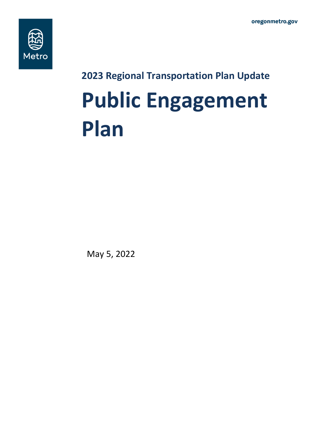

**2023 Regional Transportation Plan Update**

# **Public Engagement Plan**

May 5, 2022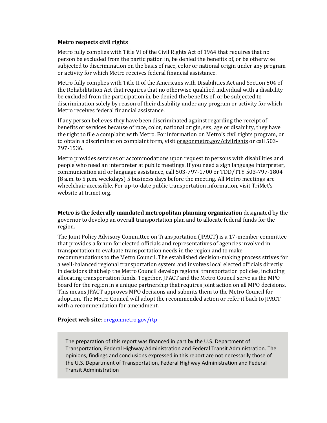#### **Metro respects civil rights**

Metro fully complies with Title VI of the Civil Rights Act of 1964 that requires that no person be excluded from the participation in, be denied the benefits of, or be otherwise subjected to discrimination on the basis of race, color or national origin under any program or activity for which Metro receives federal financial assistance.

Metro fully complies with Title II of the Americans with Disabilities Act and Section 504 of the Rehabilitation Act that requires that no otherwise qualified individual with a disability be excluded from the participation in, be denied the benefits of, or be subjected to discrimination solely by reason of their disability under any program or activity for which Metro receives federal financial assistance.

If any person believes they have been discriminated against regarding the receipt of benefits or services because of race, color, national origin, sex, age or disability, they have the right to file a complaint with Metro. For information on Metro's civil rights program, or to obtain a discrimination complaint form, visit <u>oregonmetro.gov/civilrights</u> or call 503-797-1536.

Metro provides services or accommodations upon request to persons with disabilities and people who need an interpreter at public meetings. If you need a sign language interpreter, communication aid or language assistance, call 503-797-1700 or TDD/TTY 503-797-1804 (8 a.m. to 5 p.m. weekdays) 5 business days before the meeting. All Metro meetings are wheelchair accessible. For up-to-date public transportation information, visit TriMet's website a[t trimet.org.](http://trimet.org/) 

**Metro is the federally mandated metropolitan planning organization** designated by the governor to develop an overall transportation plan and to allocate federal funds for the region.

The Joint Policy Advisory Committee on Transportation (JPACT) is a 17-member committee that provides a forum for elected officials and representatives of agencies involved in transportation to evaluate transportation needs in the region and to make recommendations to the Metro Council. The established decision-making process strives for a well-balanced regional transportation system and involves local elected officials directly in decisions that help the Metro Council develop regional transportation policies, including allocating transportation funds. Together, JPACT and the Metro Council serve as the MPO board for the region in a unique partnership that requires joint action on all MPO decisions. This means JPACT approves MPO decisions and submits them to the Metro Council for adoption. The Metro Council will adopt the recommended action or refer it back to JPACT with a recommendation for amendment.

#### **Project web site**: oregonmetro.gov/rtp

The preparation of this report was financed in part by the U.S. Department of Transportation, Federal Highway Administration and Federal Transit Administration. The opinions, findings and conclusions expressed in this report are not necessarily those of the U.S. Department of Transportation, Federal Highway Administration and Federal Transit Administration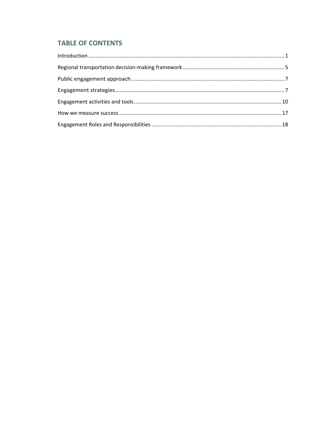# **TABLE OF CONTENTS**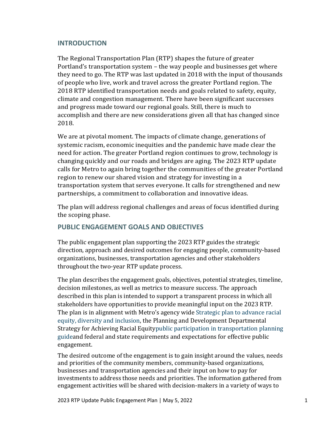## **INTRODUCTION**

The Regional Transportation Plan (RTP) shapes the future of greater Portland's transportation system – the way people and businesses get where they need to go. The RTP was last updated in 2018 with the input of thousands of people who live, work and travel across the greater Portland region. The 2018 RTP identified transportation needs and goals related to safety, equity, climate and congestion management. There have been significant successes and progress made toward our regional goals. Still, there is much to accomplish and there are new considerations given all that has changed since 2018.

We are at pivotal moment. The impacts of climate change, generations of systemic racism, economic inequities and the pandemic have made clear the need for action. The greater Portland region continues to grow, technology is changing quickly and our roads and bridges are aging. The 2023 RTP update calls for Metro to again bring together the communities of the greater Portland region to renew our shared vision and strategy for investing in a transportation system that serves everyone. It calls for strengthened and new partnerships, a commitment to collaboration and innovative ideas.

The plan will address regional challenges and areas of focus identified during the scoping phase.

## **PUBLIC ENGAGEMENT GOALS AND OBJECTIVES**

The public engagement plan supporting the 2023 RTP guides the strategic direction, approach and desired outcomes for engaging people, community-based organizations, businesses, transportation agencies and other stakeholders throughout the two-year RTP update process.

The plan describes the engagement goals, objectives, potential strategies, timeline, decision milestones, as well as metrics to measure success. The approach described in this plan is intended to support a transparent process in which all stakeholders have opportunities to provide meaningful input on the 2023 RTP. The plan is in alignment with Metro's agency wide [Strategic plan to advance racial](https://www.oregonmetro.gov/sites/default/files/2016/11/15/Strategic-plan-advance-racial-equity-diversity-inclusion-exec-summary-17063-20160613.pdf)  [equity, diversity and inclusion,](https://www.oregonmetro.gov/sites/default/files/2016/11/15/Strategic-plan-advance-racial-equity-diversity-inclusion-exec-summary-17063-20160613.pdf) the Planning and Development Departmental Strategy for Achieving Racial Equit[ypublic participation in transportation planning](https://www.oregonmetro.gov/sites/default/files/2019/02/15/PublicParticipationInTransportationPlanning.pdfhttps:/www.oregonmetro.gov/sites/default/files/2019/02/15/PublicParticipationInTransportationPlanning.pdf)  [guidea](https://www.oregonmetro.gov/sites/default/files/2019/02/15/PublicParticipationInTransportationPlanning.pdfhttps:/www.oregonmetro.gov/sites/default/files/2019/02/15/PublicParticipationInTransportationPlanning.pdf)nd federal and state requirements and expectations for effective public engagement.

The desired outcome of the engagement is to gain insight around the values, needs and priorities of the community members, community-based organizations, businesses and transportation agencies and their input on how to pay for investments to address those needs and priorities. The information gathered from engagement activities will be shared with decision-makers in a variety of ways to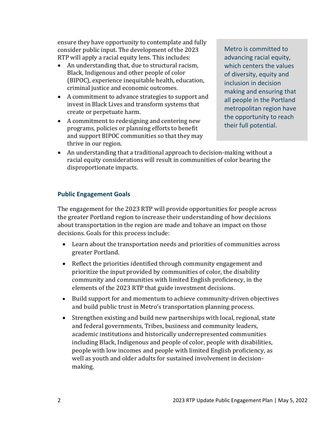ensure they have opportunity to contemplate and fully consider public input. The development of the 2023 RTP will apply a racial equity lens. This includes:

- An understanding that, due to structural racism, Black, Indigenous and other people of color (BIPOC), experience inequitable health, education, criminal justice and economic outcomes.
- A commitment to advance strategies to support and invest in Black Lives and transform systems that create or perpetuate harm.
- A commitment to redesigning and centering new programs, policies or planning efforts to benefit and support BIPOC communities so that they may thrive in our region.

Metro is committed to advancing racial equity, which centers the values of diversity, equity and inclusion in decision making and ensuring that all people in the Portland metropolitan region have the opportunity to reach their full potential.

• An understanding that a traditional approach to decision-making without a racial equity considerations will result in communities of color bearing the disproportionate impacts.

## **Public Engagement Goals**

The engagement for the 2023 RTP will provide opportunities for people across the greater Portland region to increase their understanding of how decisions about transportation in the region are made and tohave an impact on those decisions. Goals for this process include:

- Learn about the transportation needs and priorities of communities across greater Portland.
- Reflect the priorities identified through community engagement and prioritize the input provided by communities of color, the disability community and communities with limited English proficiency, in the elements of the 2023 RTP that guide investment decisions.
- Build support for and momentum to achieve community-driven objectives and build public trust in Metro's transportation planning process.
- Strengthen existing and build new partnerships with local, regional, state and federal governments, Tribes, business and community leaders, academic institutions and historically underrepresented communities including Black, Indigenous and people of color, people with disabilities, people with low incomes and people with limited English proficiency, as well as youth and older adults for sustained involvement in decisionmaking.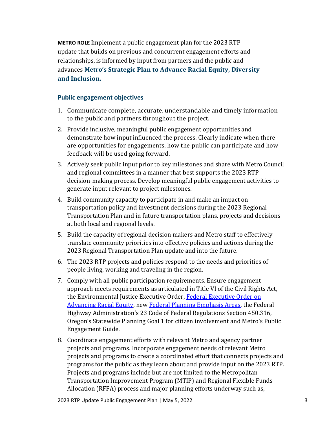**METRO ROLE** Implement a public engagement plan for the 2023 RTP update that builds on previous and concurrent engagement efforts and relationships, is informed by input from partners and the public and advances **Metro's [Strategic Plan to Advance Racial Equity, Diversity](https://www.oregonmetro.gov/strategic-plan-advance-racial-equity-diversity-and-inclusion)  [and Inclusion.](https://www.oregonmetro.gov/strategic-plan-advance-racial-equity-diversity-and-inclusion)**

#### **Public engagement objectives**

- Communicate complete, accurate, understandable and timely information to the public and partners throughout the project.
- 2. Provide inclusive, meaningful public engagement opportunities and demonstrate how input influenced the process. Clearly indicate when there are opportunities for engagements, how the public can participate and how feedback will be used going forward.
- 3. Actively seek public input prior to key milestones and share with Metro Council and regional committees in a manner that best supports the 2023 RTP decision-making process. Develop meaningful public engagement activities to generate input relevant to project milestones.
- 4. Build community capacity to participate in and make an impact on transportation policy and investment decisions during the 2023 Regional Transportation Plan and in future transportation plans, projects and decisions at both local and regional levels.
- 5. Build the capacity of regional decision makers and Metro staff to effectively translate community priorities into effective policies and actions during the 2023 Regional Transportation Plan update and into the future.
- 6. The 2023 RTP projects and policies respond to the needs and priorities of people living, working and traveling in the region.
- 7. Comply with all public participation requirements. Ensure engagement approach meets requirements as articulated in Title VI of the Civil Rights Act, the Environmental Justice Executive Order, Federal Executive Order on [Advancing Racial Equity,](https://www.whitehouse.gov/briefing-room/presidential-actions/2021/01/20/executive-order-advancing-racial-equity-and-support-for-underserved-communities-through-the-federal-government/) new [Federal Planning Emphasis Areas,](https://www.transit.dot.gov/sites/fta.dot.gov/files/2022-01/Planning-Emphasis-Areas-12-30-2021.pdf) the Federal Highway Administration's 23 Code of Federal Regulations Section 450.316, Oregon's Statewide Planning Goal 1 for citizen involvement and Metro's Public Engagement Guide.
- 8. Coordinate engagement efforts with relevant Metro and agency partner projects and programs. Incorporate engagement needs of relevant Metro projects and programs to create a coordinated effort that connects projects and programs for the public as they learn about and provide input on the 2023 RTP. Projects and programs include but are not limited to the Metropolitan Transportation Improvement Program (MTIP) and Regional Flexible Funds Allocation (RFFA) process and major planning efforts underway such as,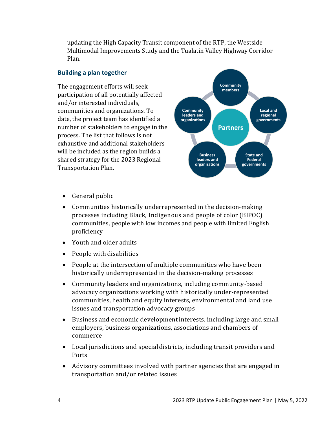updating the High Capacity Transit component of the RTP, the Westside Multimodal Improvements Study and the Tualatin Valley Highway Corridor Plan.

## **Building a plan together**

The engagement efforts will seek participation of all potentially affected and/or interested individuals, communities and organizations. To date, the project team has identified a number of stakeholders to engage in the process. The list that follows is not exhaustive and additional stakeholders will be included as the region builds a shared strategy for the 2023 Regional Transportation Plan.



- General public
- Communities historically underrepresented in the decision-making processes including Black, Indigenous and people of color (BIPOC) communities, people with low incomes and people with limited English proficiency
- Youth and older adults
- People with disabilities
- People at the intersection of multiple communities who have been historically underrepresented in the decision-making processes
- Community leaders and organizations, including community-based advocacy organizations working with historically under-represented communities, health and equity interests, environmental and land use issues and transportation advocacy groups
- Business and economic developmentinterests, including large and small employers, business organizations, associations and chambers of commerce
- Local jurisdictions and specialdistricts, including transit providers and Ports
- Advisory committees involved with partner agencies that are engaged in transportation and/or related issues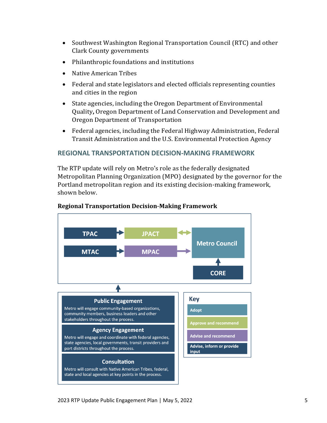- Southwest Washington Regional Transportation Council (RTC) and other Clark County governments
- Philanthropic foundations and institutions
- Native American Tribes
- Federal and state legislators and elected officials representing counties and cities in the region
- State agencies, including the Oregon Department of Environmental Quality**,** Oregon Department of Land Conservation and Development and Oregon Department of Transportation
- Federal agencies, including the Federal Highway Administration, Federal Transit Administration and the U.S. Environmental Protection Agency

#### **REGIONAL TRANSPORTATION DECISION-MAKING FRAMEWORK**

The RTP update will rely on Metro's role as the federally designated Metropolitan Planning Organization (MPO) designated by the governor for the Portland metropolitan region and its existing decision-making framework, shown below.



#### **Regional Transportation Decision-Making Framework**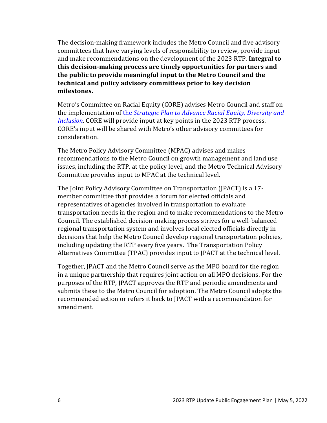The decision-making framework includes the Metro Council and five advisory committees that have varying levels of responsibility to review, provide input and make recommendations on the development of the 2023 RTP. **Integral to this decision-making process are timely opportunities for partners and the public to provide meaningful input to the Metro Council and the technical and policy advisory committees prior to key decision milestones.**

Metro's Committee on Racial Equity (CORE) advises Metro Council and staff on the implementation of the *[Strategic Plan to Advance Racial Equity, Diversity and](https://www.oregonmetro.gov/strategic-plan-advance-racial-equity-diversity-and-inclusion)  [Inclusion](https://www.oregonmetro.gov/strategic-plan-advance-racial-equity-diversity-and-inclusion)*. CORE will provide input at key points in the 2023 RTP process. CORE's input will be shared with Metro's other advisory committees for consideration.

The Metro Policy Advisory Committee (MPAC) advises and makes recommendations to the Metro Council on growth management and land use issues, including the RTP, at the policy level, and the Metro Technical Advisory Committee provides input to MPAC at the technical level.

The Joint Policy Advisory Committee on Transportation (JPACT) is a 17 member committee that provides a forum for elected officials and representatives of agencies involved in transportation to evaluate transportation needs in the region and to make recommendations to the Metro Council. The established decision-making process strives for a well-balanced regional transportation system and involves local elected officials directly in decisions that help the Metro Council develop regional transportation policies, including updating the RTP every five years. The Transportation Policy Alternatives Committee (TPAC) provides input to JPACT at the technical level.

Together, JPACT and the Metro Council serve as the MPO board for the region in a unique partnership that requires joint action on all MPO decisions. For the purposes of the RTP, JPACT approves the RTP and periodic amendments and submits these to the Metro Council for adoption. The Metro Council adopts the recommended action or refers it back to JPACT with a recommendation for amendment.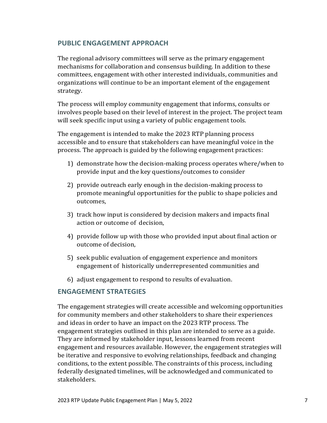## **PUBLIC ENGAGEMENT APPROACH**

The regional advisory committees will serve as the primary engagement mechanisms for collaboration and consensus building. In addition to these committees, engagement with other interested individuals, communities and organizations will continue to be an important element of the engagement strategy.

The process will employ community engagement that informs, consults or involves people based on their level of interest in the project. The project team will seek specific input using a variety of public engagement tools.

The engagement is intended to make the 2023 RTP planning process accessible and to ensure that stakeholders can have meaningful voice in the process. The approach is guided by the following engagement practices:

- 1) demonstrate how the decision-making process operates where/when to provide input and the key questions/outcomes to consider
- 2) provide outreach early enough in the decision-making process to promote meaningful opportunities for the public to shape policies and outcomes,
- 3) track how input is considered by decision makers and impacts final action or outcome of decision,
- 4) provide follow up with those who provided input about final action or outcome of decision,
- 5) seek public evaluation of engagement experience and monitors engagement of historically underrepresented communities and
- 6) adjust engagement to respond to results of evaluation.

## **ENGAGEMENT STRATEGIES**

The engagement strategies will create accessible and welcoming opportunities for community members and other stakeholders to share their experiences and ideas in order to have an impact on the 2023 RTP process. The engagement strategies outlined in this plan are intended to serve as a guide. They are informed by stakeholder input, lessons learned from recent engagement and resources available. However, the engagement strategies will be iterative and responsive to evolving relationships, feedback and changing conditions, to the extent possible. The constraints of this process, including federally designated timelines, will be acknowledged and communicated to stakeholders.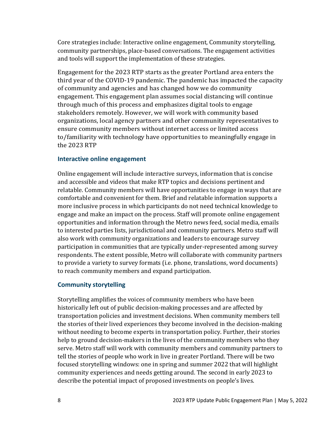Core strategies include: Interactive online engagement, Community storytelling, community partnerships, place-based conversations. The engagement activities and tools will support the implementation of these strategies.

Engagement for the 2023 RTP starts as the greater Portland area enters the third year of the COVID-19 pandemic. The pandemic has impacted the capacity of community and agencies and has changed how we do community engagement. This engagement plan assumes social distancing will continue through much of this process and emphasizes digital tools to engage stakeholders remotely. However, we will work with community based organizations, local agency partners and other community representatives to ensure community members without internet access or limited access to/familiarity with technology have opportunities to meaningfully engage in the 2023 RTP

#### **Interactive online engagement**

Online engagement will include interactive surveys, information that is concise and accessible and videos that make RTP topics and decisions pertinent and relatable. Community members will have opportunities to engage in ways that are comfortable and convenient for them. Brief and relatable information supports a more inclusive process in which participants do not need technical knowledge to engage and make an impact on the process. Staff will promote online engagement opportunities and information through the Metro news feed, social media, emails to interested parties lists, jurisdictional and community partners. Metro staff will also work with community organizations and leaders to encourage survey participation in communities that are typically under-represented among survey respondents. The extent possible, Metro will collaborate with community partners to provide a variety to survey formats (i.e. phone, translations, word documents) to reach community members and expand participation.

#### **Community storytelling**

Storytelling amplifies the voices of community members who have been historically left out of public decision-making processes and are affected by transportation policies and investment decisions. When community members tell the stories of their lived experiences they become involved in the decision-making without needing to become experts in transportation policy. Further, their stories help to ground decision-makers in the lives of the community members who they serve. Metro staff will work with community members and community partners to tell the stories of people who work in live in greater Portland. There will be two focused storytelling windows: one in spring and summer 2022 that will highlight community experiences and needs getting around. The second in early 2023 to describe the potential impact of proposed investments on people's lives.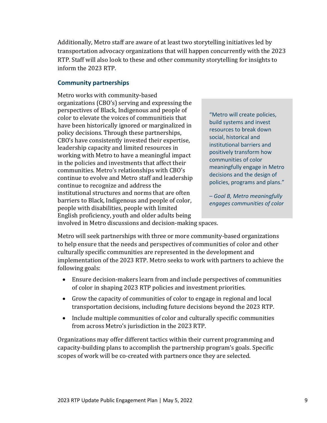Additionally, Metro staff are aware of at least two storytelling initiatives led by transportation advocacy organizations that will happen concurrently with the 2023 RTP. Staff will also look to these and other community storytelling for insights to inform the 2023 RTP.

### **Community partnerships**

Metro works with community-based organizations (CBO's) serving and expressing the perspectives of Black, Indigenous and people of color to elevate the voices of communitieis that have been historically ignored or marginalized in policy decisions. Through these partnerships, CBO's have consistently invested their expertise, leadership capacity and limited resources in working with Metro to have a meaningful impact in the policies and investments that affect their communities. Metro's relationships with CBO's continue to evolve and Metro staff and leadership continue to recognize and address the institutional structures and norms that are often barriers to Black, Indigenous and people of color, people with disabilities, people with limited English proficiency, youth and older adults being

"Metro will create policies, build systems and invest resources to break down social, historical and institutional barriers and positively transform how communities of color meaningfully engage in Metro decisions and the design of policies, programs and plans."

*– Goal B, Metro meaningfully engages communities of color*

involved in Metro discussions and decision-making spaces.

Metro will seek partnerships with three or more community-based organizations to help ensure that the needs and perspectives of communities of color and other culturally specific communities are represented in the development and implementation of the 2023 RTP. Metro seeks to work with partners to achieve the following goals:

- Ensure decision-makers learn from and include perspectives of communities of color in shaping 2023 RTP policies and investment priorities.
- Grow the capacity of communities of color to engage in regional and local transportation decisions, including future decisions beyond the 2023 RTP.
- Include multiple communities of color and culturally specific communities from across Metro's jurisdiction in the 2023 RTP.

Organizations may offer different tactics within their current programming and capacity-building plans to accomplish the partnership program's goals. Specific scopes of work will be co-created with partners once they are selected.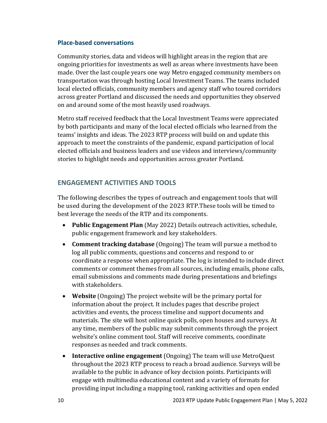#### **Place-based conversations**

Community stories, data and videos will highlight areas in the region that are ongoing priorities for investments as well as areas where investments have been made. Over the last couple years one way Metro engaged community members on transportation was through hosting Local Investment Teams. The teams included local elected officials, community members and agency staff who toured corridors across greater Portland and discussed the needs and opportunities they observed on and around some of the most heavily used roadways.

Metro staff received feedback that the Local Investment Teams were appreciated by both participants and many of the local elected officials who learned from the teams' insights and ideas. The 2023 RTP process will build on and update this approach to meet the constraints of the pandemic, expand participation of local elected officials and business leaders and use videos and interviews/community stories to highlight needs and opportunities across greater Portland.

## **ENGAGEMENT ACTIVITIES AND TOOLS**

The following describes the types of outreach and engagement tools that will be used during the development of the 2023 RTP.These tools will be timed to best leverage the needs of the RTP and its components.

- **Public Engagement Plan** (May 2022) Details outreach activities, schedule, public engagement framework and key stakeholders.
- **Comment tracking database** (Ongoing) The team will pursue a method to log all public comments, questions and concerns and respond to or coordinate a response when appropriate. The log is intended to include direct comments or comment themes from all sources, including emails, phone calls, email submissions and comments made during presentations and briefings with stakeholders.
- **Website** (Ongoing) The project website will be the primary portal for information about the project. It includes pages that describe project activities and events, the process timeline and support documents and materials. The site will host online quick polls, open houses and surveys. At any time, members of the public may submit comments through the project website's online comment tool. Staff will receive comments, coordinate responses as needed and track comments.
- **Interactive online engagement** (Ongoing) The team will use MetroQuest throughout the 2023 RTP process to reach a broad audience. Surveys will be available to the public in advance of key decision points. Participants will engage with multimedia educational content and a variety of formats for providing input including a mapping tool, ranking activities and open ended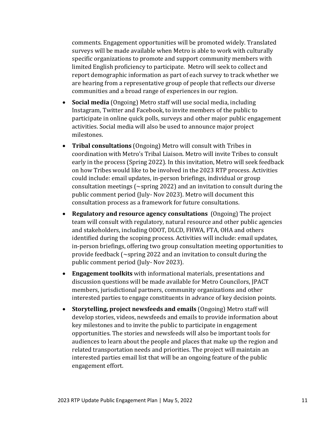comments. Engagement opportunities will be promoted widely. Translated surveys will be made available when Metro is able to work with culturally specific organizations to promote and support community members with limited English proficiency to participate. Metro will seek to collect and report demographic information as part of each survey to track whether we are hearing from a representative group of people that reflects our diverse communities and a broad range of experiences in our region.

- **Social media** (Ongoing) Metro staff will use social media, including Instagram, Twitter and Facebook, to invite members of the public to participate in online quick polls, surveys and other major public engagement activities. Social media will also be used to announce major project milestones.
- **Tribal consultations** (Ongoing) Metro will consult with Tribes in coordination with Metro's Tribal Liaison. Metro will invite Tribes to consult early in the process (Spring 2022). In this invitation, Metro will seek feedback on how Tribes would like to be involved in the 2023 RTP process. Activities could include: email updates, in-person briefings, individual or group consultation meetings (~spring 2022) and an invitation to consult during the public comment period (July- Nov 2023). Metro will document this consultation process as a framework for future consultations.
- **Regulatory and resource agency consultations** (Ongoing) The project team will consult with regulatory, natural resource and other public agencies and stakeholders, including ODOT, DLCD, FHWA, FTA, OHA and others identified during the scoping process. Activities will include: email updates, in-person briefings, offering two group consultation meeting opportunities to provide feedback (~spring 2022 and an invitation to consult during the public comment period (July- Nov 2023).
- **Engagement toolkits** with informational materials, presentations and discussion questions will be made available for Metro Councilors, JPACT members, jurisdictional partners, community organizations and other interested parties to engage constituents in advance of key decision points.
- **Storytelling, project newsfeeds and emails** (Ongoing) Metro staff will develop stories, videos, newsfeeds and emails to provide information about key milestones and to invite the public to participate in engagement opportunities. The stories and newsfeeds will also be important tools for audiences to learn about the people and places that make up the region and related transportation needs and priorities. The project will maintain an interested parties email list that will be an ongoing feature of the public engagement effort.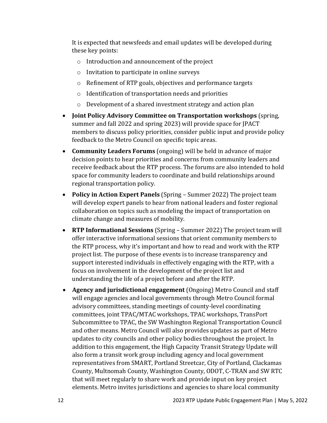It is expected that newsfeeds and email updates will be developed during these key points:

- o Introduction and announcement of the project
- o Invitation to participate in online surveys
- o Refinement of RTP goals, objectives and performance targets
- o Identification of transportation needs and priorities
- o Development of a shared investment strategy and action plan
- **Joint Policy Advisory Committee on Transportation workshops** (spring, summer and fall 2022 and spring 2023) will provide space for JPACT members to discuss policy priorities, consider public input and provide policy feedback to the Metro Council on specific topic areas.
- **Community Leaders Forums** (ongoing) will be held in advance of major decision points to hear priorities and concerns from community leaders and receive feedback about the RTP process. The forums are also intended to hold space for community leaders to coordinate and build relationships around regional transportation policy.
- **Policy in Action Expert Panels** (Spring Summer 2022) The project team will develop expert panels to hear from national leaders and foster regional collaboration on topics such as modeling the impact of transportation on climate change and measures of mobility.
- **RTP Informational Sessions** (Spring Summer 2022) The project team will offer interactive informational sessions that orient community members to the RTP process, why it's important and how to read and work with the RTP project list. The purpose of these events is to increase transparency and support interested individuals in effectively engaging with the RTP, with a focus on involvement in the development of the project list and understanding the life of a project before and after the RTP.
- **Agency and jurisdictional engagement** (Ongoing) Metro Council and staff will engage agencies and local governments through Metro Council formal advisory committees, standing meetings of county-level coordinating committees, joint TPAC/MTAC workshops, TPAC workshops, TransPort Subcommittee to TPAC, the SW Washington Regional Transportation Council and other means. Metro Council will also provides updates as part of Metro updates to city councils and other policy bodies throughout the project. In addition to this engagement, the High Capacity Transit Strategy Update will also form a transit work group including agency and local government representatives from SMART, Portland Streetcar, City of Portland, Clackamas County, Multnomah County, Washington County, ODOT, C-TRAN and SW RTC that will meet regularly to share work and provide input on key project elements. Metro invites jurisdictions and agencies to share local community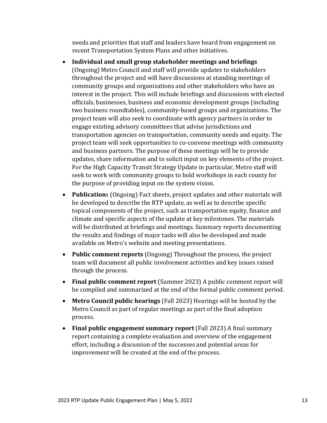needs and priorities that staff and leaders have heard from engagement on recent Transportation System Plans and other initiatives.

- **Individual and small group stakeholder meetings and briefings** (Ongoing) Metro Council and staff will provide updates to stakeholders throughout the project and will have discussions at standing meetings of community groups and organizations and other stakeholders who have an interest in the project. This will include briefings and discussions with elected officials, businesses, business and economic development groups (including two business roundtables), community-based groups and organizations. The project team will also seek to coordinate with agency partners in order to engage existing advisory committees that advise jurisdictions and transportation agencies on transportation, community needs and equity. The project team will seek opportunities to co-convene meetings with community and business partners. The purpose of these meetings will be to provide updates, share information and to solicit input on key elements of the project. For the High Capacity Transit Strategy Update in particular, Metro staff will seek to work with community groups to hold workshops in each county for the purpose of providing input on the system vision.
- **Publication**s (Ongoing) Fact sheets, project updates and other materials will be developed to describe the RTP update, as well as to describe specific topical components of the project, such as transportation equity, finance and climate and specific aspects of the update at key milestones. The materials will be distributed at briefings and meetings. Summary reports documenting the results and findings of major tasks will also be developed and made available on Metro's website and meeting presentations.
- **Public comment reports** (Ongoing) Throughout the process, the project team will document all public involvement activities and key issues raised through the process.
- **Final public comment report** (Summer 2023) A public comment report will be compiled and summarized at the end of the formal public comment period.
- **Metro Council public hearings** (Fall 2023) Hearings will be hosted by the Metro Council as part of regular meetings as part of the final adoption process.
- **Final public engagement summary report** (Fall 2023) A final summary report containing a complete evaluation and overview of the engagement effort, including a discussion of the successes and potential areas for improvement will be created at the end of the process.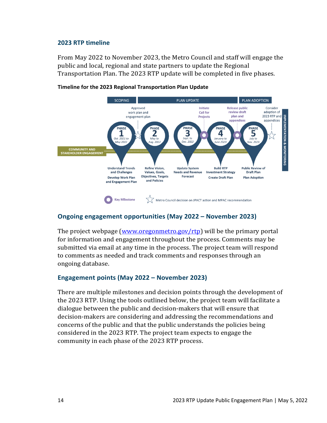#### **2023 RTP timeline**

From May 2022 to November 2023, the Metro Council and staff will engage the public and local, regional and state partners to update the Regional Transportation Plan. The 2023 RTP update will be completed in five phases.



#### **Timeline for the 2023 Regional Transportation Plan Update**

#### **Ongoing engagement opportunities (May 2022 – November 2023)**

The project webpage [\(www.oregonmetro.gov/rtp\)](https://www.oregonmetro.gov/public-projects/2023-regional-transportation-plan) will be the primary portal for information and engagement throughout the process. Comments may be submitted via email at any time in the process. The project team will respond to comments as needed and track comments and responses through an ongoing database.

#### **Engagement points (May 2022 – November 2023)**

There are multiple milestones and decision points through the development of the 2023 RTP. Using the tools outlined below, the project team will facilitate a dialogue between the public and decision-makers that will ensure that decision-makers are considering and addressing the recommendations and concerns of the public and that the public understands the policies being considered in the 2023 RTP. The project team expects to engage the community in each phase of the 2023 RTP process.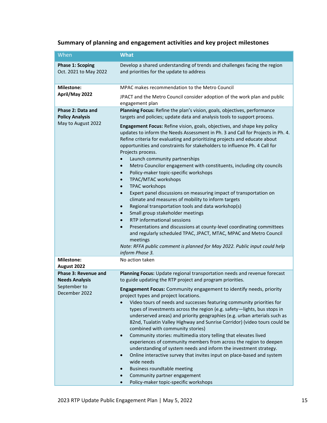# **Summary of planning and engagement activities and key project milestones**

| When                                                              | <b>What</b>                                                                                                                                                                                                                                                                                                                                                                                                                                                                                                                                                                                                                                                                                                                                                                                                                                                                                                                                                                                                                                                                                                                                                                                                                                                               |  |  |  |
|-------------------------------------------------------------------|---------------------------------------------------------------------------------------------------------------------------------------------------------------------------------------------------------------------------------------------------------------------------------------------------------------------------------------------------------------------------------------------------------------------------------------------------------------------------------------------------------------------------------------------------------------------------------------------------------------------------------------------------------------------------------------------------------------------------------------------------------------------------------------------------------------------------------------------------------------------------------------------------------------------------------------------------------------------------------------------------------------------------------------------------------------------------------------------------------------------------------------------------------------------------------------------------------------------------------------------------------------------------|--|--|--|
| <b>Phase 1: Scoping</b><br>Oct. 2021 to May 2022                  | Develop a shared understanding of trends and challenges facing the region<br>and priorities for the update to address                                                                                                                                                                                                                                                                                                                                                                                                                                                                                                                                                                                                                                                                                                                                                                                                                                                                                                                                                                                                                                                                                                                                                     |  |  |  |
| <b>Milestone:</b>                                                 | MPAC makes recommendation to the Metro Council                                                                                                                                                                                                                                                                                                                                                                                                                                                                                                                                                                                                                                                                                                                                                                                                                                                                                                                                                                                                                                                                                                                                                                                                                            |  |  |  |
| April/May 2022                                                    | JPACT and the Metro Council consider adoption of the work plan and public<br>engagement plan                                                                                                                                                                                                                                                                                                                                                                                                                                                                                                                                                                                                                                                                                                                                                                                                                                                                                                                                                                                                                                                                                                                                                                              |  |  |  |
| Phase 2: Data and<br><b>Policy Analysis</b><br>May to August 2022 | Planning Focus: Refine the plan's vision, goals, objectives, performance<br>targets and policies; update data and analysis tools to support process.<br>Engagement Focus: Refine vision, goals, objectives, and shape key policy<br>updates to inform the Needs Assessment in Ph. 3 and Call for Projects in Ph. 4.<br>Refine criteria for evaluating and prioritizing projects and educate about<br>opportunities and constraints for stakeholders to influence Ph. 4 Call for<br>Projects process.<br>Launch community partnerships<br>Metro Councilor engagement with constituents, including city councils<br>Policy-maker topic-specific workshops<br>TPAC/MTAC workshops<br><b>TPAC</b> workshops<br>$\bullet$<br>Expert panel discussions on measuring impact of transportation on<br>$\bullet$<br>climate and measures of mobility to inform targets<br>Regional transportation tools and data workshop(s)<br>Small group stakeholder meetings<br>$\bullet$<br>RTP informational sessions<br>Presentations and discussions at county-level coordinating committees<br>$\bullet$<br>and regularly scheduled TPAC, JPACT, MTAC, MPAC and Metro Council<br>meetings<br>Note: RFFA public comment is planned for May 2022. Public input could help<br>inform Phase 3. |  |  |  |
| <b>Milestone:</b><br>August 2022                                  | No action taken                                                                                                                                                                                                                                                                                                                                                                                                                                                                                                                                                                                                                                                                                                                                                                                                                                                                                                                                                                                                                                                                                                                                                                                                                                                           |  |  |  |
| Phase 3: Revenue and<br><b>Needs Analysis</b><br>September to     | Planning Focus: Update regional transportation needs and revenue forecast<br>to guide updating the RTP project and program priorities.<br>Engagement Focus: Community engagement to identify needs, priority                                                                                                                                                                                                                                                                                                                                                                                                                                                                                                                                                                                                                                                                                                                                                                                                                                                                                                                                                                                                                                                              |  |  |  |
| December 2022                                                     | project types and project locations.<br>Video tours of needs and successes featuring community priorities for<br>types of investments across the region (e.g. safety-lights, bus stops in<br>underserved areas) and priority geographies (e.g. urban arterials such as<br>82nd, Tualatin Valley Highway and Sunrise Corridor) (video tours could be<br>combined with community stories)<br>Community stories: multimedia story telling that elevates lived<br>experiences of community members from across the region to deepen<br>understanding of system needs and inform the investment strategy.<br>Online interactive survey that invites input on place-based and system<br>wide needs<br>Business roundtable meeting<br>Community partner engagement<br>Policy-maker topic-specific workshops                                                                                                                                                                                                                                                                                                                                                                                                                                                                      |  |  |  |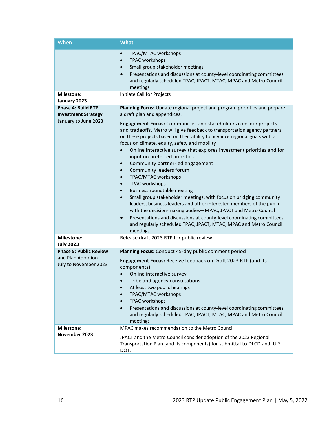| When                                                                            | <b>What</b>                                                                                                                                                                                                                                                                                                                                                                                                                                                                                                                                                                                                                                                                                                                            |  |  |
|---------------------------------------------------------------------------------|----------------------------------------------------------------------------------------------------------------------------------------------------------------------------------------------------------------------------------------------------------------------------------------------------------------------------------------------------------------------------------------------------------------------------------------------------------------------------------------------------------------------------------------------------------------------------------------------------------------------------------------------------------------------------------------------------------------------------------------|--|--|
|                                                                                 | TPAC/MTAC workshops<br>$\bullet$<br><b>TPAC workshops</b><br>$\bullet$<br>Small group stakeholder meetings<br>$\bullet$<br>Presentations and discussions at county-level coordinating committees<br>$\bullet$<br>and regularly scheduled TPAC, JPACT, MTAC, MPAC and Metro Council<br>meetings                                                                                                                                                                                                                                                                                                                                                                                                                                         |  |  |
| <b>Milestone:</b><br>January 2023                                               | Initiate Call for Projects                                                                                                                                                                                                                                                                                                                                                                                                                                                                                                                                                                                                                                                                                                             |  |  |
| <b>Phase 4: Build RTP</b><br><b>Investment Strategy</b><br>January to June 2023 | Planning Focus: Update regional project and program priorities and prepare<br>a draft plan and appendices.<br>Engagement Focus: Communities and stakeholders consider projects<br>and tradeoffs. Metro will give feedback to transportation agency partners<br>on these projects based on their ability to advance regional goals with a<br>focus on climate, equity, safety and mobility<br>Online interactive survey that explores investment priorities and for<br>$\bullet$<br>input on preferred priorities<br>Community partner-led engagement<br>$\bullet$<br>Community leaders forum<br>$\bullet$<br>TPAC/MTAC workshops<br>$\bullet$<br><b>TPAC workshops</b><br>$\bullet$<br><b>Business roundtable meeting</b><br>$\bullet$ |  |  |
|                                                                                 | Small group stakeholder meetings, with focus on bridging community<br>$\bullet$<br>leaders, business leaders and other interested members of the public<br>with the decision-making bodies-MPAC, JPACT and Metro Council<br>Presentations and discussions at county-level coordinating committees<br>$\bullet$<br>and regularly scheduled TPAC, JPACT, MTAC, MPAC and Metro Council<br>meetings                                                                                                                                                                                                                                                                                                                                        |  |  |
| <b>Milestone:</b><br><b>July 2023</b>                                           | Release draft 2023 RTP for public review                                                                                                                                                                                                                                                                                                                                                                                                                                                                                                                                                                                                                                                                                               |  |  |
| <b>Phase 5: Public Review</b><br>and Plan Adoption<br>July to November 2023     | Planning Focus: Conduct 45-day public comment period<br>Engagement Focus: Receive feedback on Draft 2023 RTP (and its<br>components)<br>Online interactive survey<br>$\bullet$<br>Tribe and agency consultations<br>At least two public hearings<br>TPAC/MTAC workshops<br><b>TPAC workshops</b><br>Presentations and discussions at county-level coordinating committees<br>$\bullet$<br>and regularly scheduled TPAC, JPACT, MTAC, MPAC and Metro Council<br>meetings                                                                                                                                                                                                                                                                |  |  |
| <b>Milestone:</b><br>November 2023                                              | MPAC makes recommendation to the Metro Council<br>JPACT and the Metro Council consider adoption of the 2023 Regional<br>Transportation Plan (and its components) for submittal to DLCD and U.S.<br>DOT.                                                                                                                                                                                                                                                                                                                                                                                                                                                                                                                                |  |  |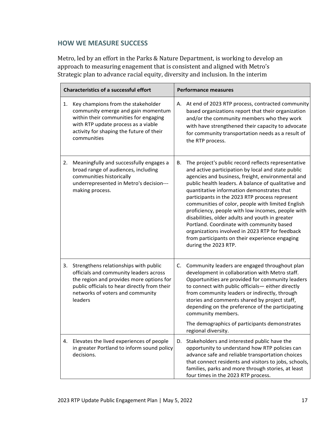## **HOW WE MEASURE SUCCESS**

Metro, led by an effort in the Parks & Nature Department, is working to develop an approach to measuring enagement that is consistent and aligned with Metro's Strategic plan to advance racial equity, diversity and inclusion. In the interim

| <b>Characteristics of a successful effort</b> |                                                                                                                                                                                                                            | <b>Performance measures</b> |                                                                                                                                                                                                                                                                                                                                                                                                                                                                                                                                                                                                                                                              |
|-----------------------------------------------|----------------------------------------------------------------------------------------------------------------------------------------------------------------------------------------------------------------------------|-----------------------------|--------------------------------------------------------------------------------------------------------------------------------------------------------------------------------------------------------------------------------------------------------------------------------------------------------------------------------------------------------------------------------------------------------------------------------------------------------------------------------------------------------------------------------------------------------------------------------------------------------------------------------------------------------------|
| 1.                                            | Key champions from the stakeholder<br>community emerge and gain momentum<br>within their communities for engaging<br>with RTP update process as a viable<br>activity for shaping the future of their<br>communities        | А.                          | At end of 2023 RTP process, contracted community<br>based organizations report that their organization<br>and/or the community members who they work<br>with have strengthened their capacity to advocate<br>for community transportation needs as a result of<br>the RTP process.                                                                                                                                                                                                                                                                                                                                                                           |
| 2.                                            | Meaningfully and successfully engages a<br>broad range of audiences, including<br>communities historically<br>underrepresented in Metro's decision---<br>making process.                                                   | В.                          | The project's public record reflects representative<br>and active participation by local and state public<br>agencies and business, freight, environmental and<br>public health leaders. A balance of qualitative and<br>quantitative information demonstrates that<br>participants in the 2023 RTP process represent<br>communities of color, people with limited English<br>proficiency, people with low incomes, people with<br>disabilities, older adults and youth in greater<br>Portland. Coordinate with community based<br>organizations involved in 2023 RTP for feedback<br>from participants on their experience engaging<br>during the 2023 RTP. |
| 3.                                            | Strengthens relationships with public<br>officials and community leaders across<br>the region and provides more options for<br>public officials to hear directly from their<br>networks of voters and community<br>leaders | C.                          | Community leaders are engaged throughout plan<br>development in collaboration with Metro staff.<br>Opportunities are provided for community leaders<br>to connect with public officials- either directly<br>from community leaders or indirectly, through<br>stories and comments shared by project staff,<br>depending on the preference of the participating<br>community members.<br>The demographics of participants demonstrates<br>regional diversity.                                                                                                                                                                                                 |
| 4.                                            | Elevates the lived experiences of people<br>in greater Portland to inform sound policy<br>decisions.                                                                                                                       | D.                          | Stakeholders and interested public have the<br>opportunity to understand how RTP policies can<br>advance safe and reliable transportation choices<br>that connect residents and visitors to jobs, schools,<br>families, parks and more through stories, at least<br>four times in the 2023 RTP process.                                                                                                                                                                                                                                                                                                                                                      |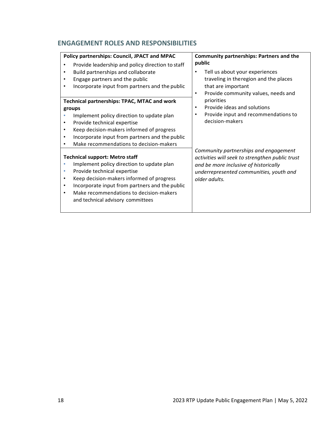# **ENGAGEMENT ROLES AND RESPONSIBILITIES**

| Policy partnerships: Council, JPACT and MPAC                                                                                                                                                                                                                                                                       | <b>Community partnerships: Partners and the</b>                                                                                                                                               |  |
|--------------------------------------------------------------------------------------------------------------------------------------------------------------------------------------------------------------------------------------------------------------------------------------------------------------------|-----------------------------------------------------------------------------------------------------------------------------------------------------------------------------------------------|--|
| Provide leadership and policy direction to staff<br>Build partnerships and collaborate<br>Engage partners and the public<br>Incorporate input from partners and the public                                                                                                                                         | public<br>Tell us about your experiences<br>traveling in theregion and the places<br>that are important<br>Provide community values, needs and                                                |  |
| <b>Technical partnerships: TPAC, MTAC and work</b><br>groups<br>Implement policy direction to update plan<br>Provide technical expertise<br>Keep decision-makers informed of progress<br>٠<br>Incorporate input from partners and the public<br>٠<br>Make recommendations to decision-makers                       | priorities<br>Provide ideas and solutions<br>Provide input and recommendations to<br>decision-makers                                                                                          |  |
| <b>Technical support: Metro staff</b><br>Implement policy direction to update plan<br>Provide technical expertise<br>Keep decision-makers informed of progress<br>$\bullet$<br>Incorporate input from partners and the public<br>٠<br>Make recommendations to decision-makers<br>and technical advisory committees | Community partnerships and engagement<br>activities will seek to strengthen public trust<br>and be more inclusive of historically<br>underrepresented communities, youth and<br>older adults. |  |